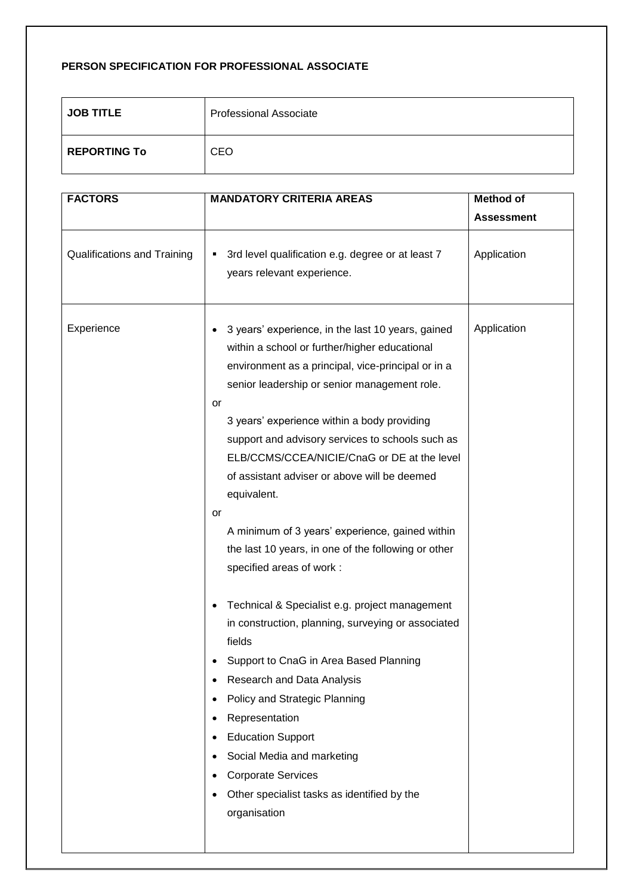## **PERSON SPECIFICATION FOR PROFESSIONAL ASSOCIATE**

| <b>JOB TITLE</b>    | <b>Professional Associate</b> |
|---------------------|-------------------------------|
| <b>REPORTING To</b> | <b>CEO</b>                    |

| <b>FACTORS</b>              | <b>MANDATORY CRITERIA AREAS</b>                                                                                                                                                                                                                                                                                                                                                                                                                                                                                                                                                                                                                                                                                                                                                                                                                                                                                                                                                                                                    | <b>Method of</b>  |
|-----------------------------|------------------------------------------------------------------------------------------------------------------------------------------------------------------------------------------------------------------------------------------------------------------------------------------------------------------------------------------------------------------------------------------------------------------------------------------------------------------------------------------------------------------------------------------------------------------------------------------------------------------------------------------------------------------------------------------------------------------------------------------------------------------------------------------------------------------------------------------------------------------------------------------------------------------------------------------------------------------------------------------------------------------------------------|-------------------|
|                             |                                                                                                                                                                                                                                                                                                                                                                                                                                                                                                                                                                                                                                                                                                                                                                                                                                                                                                                                                                                                                                    | <b>Assessment</b> |
| Qualifications and Training | 3rd level qualification e.g. degree or at least 7<br>п<br>years relevant experience.                                                                                                                                                                                                                                                                                                                                                                                                                                                                                                                                                                                                                                                                                                                                                                                                                                                                                                                                               | Application       |
| Experience                  | 3 years' experience, in the last 10 years, gained<br>within a school or further/higher educational<br>environment as a principal, vice-principal or in a<br>senior leadership or senior management role.<br>or<br>3 years' experience within a body providing<br>support and advisory services to schools such as<br>ELB/CCMS/CCEA/NICIE/CnaG or DE at the level<br>of assistant adviser or above will be deemed<br>equivalent.<br>or<br>A minimum of 3 years' experience, gained within<br>the last 10 years, in one of the following or other<br>specified areas of work :<br>Technical & Specialist e.g. project management<br>٠<br>in construction, planning, surveying or associated<br>fields<br>Support to CnaG in Area Based Planning<br>Research and Data Analysis<br>$\bullet$<br>Policy and Strategic Planning<br>٠<br>Representation<br>٠<br><b>Education Support</b><br>٠<br>Social Media and marketing<br><b>Corporate Services</b><br>$\bullet$<br>Other specialist tasks as identified by the<br>٠<br>organisation | Application       |
|                             |                                                                                                                                                                                                                                                                                                                                                                                                                                                                                                                                                                                                                                                                                                                                                                                                                                                                                                                                                                                                                                    |                   |